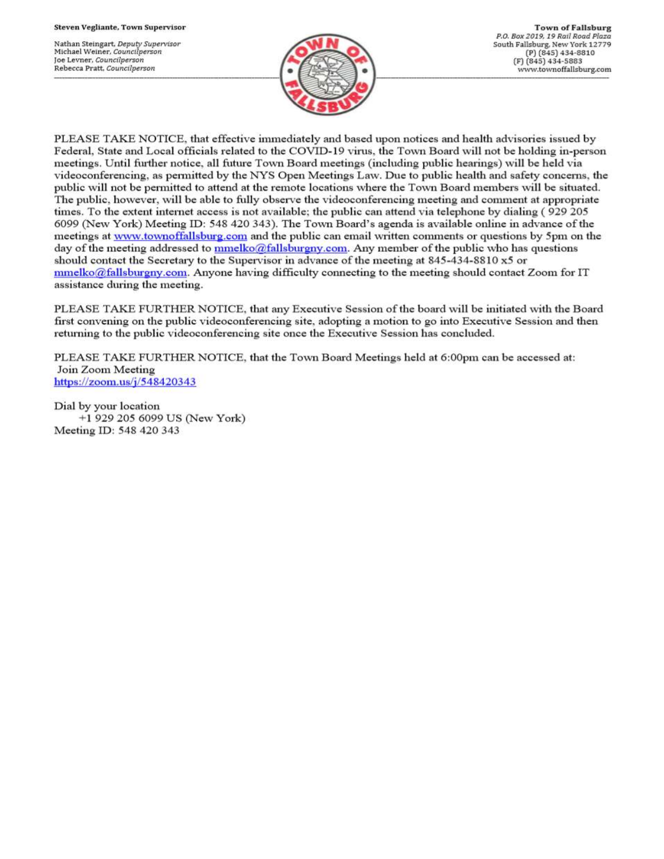Nathan Steingart, Deputy Supervisor Michael Weiner, Councilperson Joe Levner, Councilperson Rebecca Pratt, Councilperson



PLEASE TAKE NOTICE, that effective immediately and based upon notices and health advisories issued by Federal, State and Local officials related to the COVID-19 virus, the Town Board will not be holding in-person meetings. Until further notice, all future Town Board meetings (including public hearings) will be held via videoconferencing, as permitted by the NYS Open Meetings Law. Due to public health and safety concerns, the public will not be permitted to attend at the remote locations where the Town Board members will be situated. The public, however, will be able to fully observe the videoconferencing meeting and comment at appropriate times. To the extent internet access is not available; the public can attend via telephone by dialing (929 205 6099 (New York) Meeting ID: 548 420 343). The Town Board's agenda is available online in advance of the meetings at www.townoffallsburg.com and the public can email written comments or questions by 5pm on the day of the meeting addressed to  $\frac{mmelko@fallsburgny.com}{mclubuygny.com}$ . Any member of the public who has questions should contact the Secretary to the Supervisor in advance of the meeting at 845-434-8810 x5 or  $mmelko@fallsburgny.com.$  Anyone having difficulty connecting to the meeting should contact Zoom for IT assistance during the meeting.

PLEASE TAKE FURTHER NOTICE, that any Executive Session of the board will be initiated with the Board first convening on the public videoconferencing site, adopting a motion to go into Executive Session and then returning to the public videoconferencing site once the Executive Session has concluded.

PLEASE TAKE FURTHER NOTICE, that the Town Board Meetings held at 6:00pm can be accessed at: Join Zoom Meeting https://zoom.us/j/548420343

Dial by your location +1 929 205 6099 US (New York) Meeting ID: 548 420 343